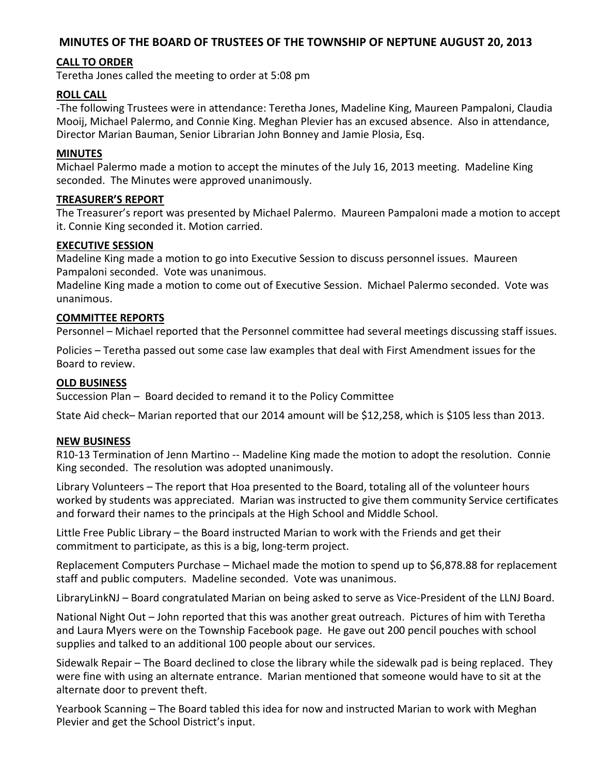# **MINUTES OF THE BOARD OF TRUSTEES OF THE TOWNSHIP OF NEPTUNE AUGUST 20, 2013**

# **CALL TO ORDER**

Teretha Jones called the meeting to order at 5:08 pm

# **ROLL CALL**

-The following Trustees were in attendance: Teretha Jones, Madeline King, Maureen Pampaloni, Claudia Mooij, Michael Palermo, and Connie King. Meghan Plevier has an excused absence. Also in attendance, Director Marian Bauman, Senior Librarian John Bonney and Jamie Plosia, Esq.

## **MINUTES**

Michael Palermo made a motion to accept the minutes of the July 16, 2013 meeting. Madeline King seconded. The Minutes were approved unanimously.

## **TREASURER'S REPORT**

The Treasurer's report was presented by Michael Palermo. Maureen Pampaloni made a motion to accept it. Connie King seconded it. Motion carried.

## **EXECUTIVE SESSION**

Madeline King made a motion to go into Executive Session to discuss personnel issues. Maureen Pampaloni seconded. Vote was unanimous.

Madeline King made a motion to come out of Executive Session. Michael Palermo seconded. Vote was unanimous.

## **COMMITTEE REPORTS**

Personnel – Michael reported that the Personnel committee had several meetings discussing staff issues.

Policies – Teretha passed out some case law examples that deal with First Amendment issues for the Board to review.

#### **OLD BUSINESS**

Succession Plan – Board decided to remand it to the Policy Committee

State Aid check– Marian reported that our 2014 amount will be \$12,258, which is \$105 less than 2013.

#### **NEW BUSINESS**

R10-13 Termination of Jenn Martino -- Madeline King made the motion to adopt the resolution. Connie King seconded. The resolution was adopted unanimously.

Library Volunteers – The report that Hoa presented to the Board, totaling all of the volunteer hours worked by students was appreciated. Marian was instructed to give them community Service certificates and forward their names to the principals at the High School and Middle School.

Little Free Public Library – the Board instructed Marian to work with the Friends and get their commitment to participate, as this is a big, long-term project.

Replacement Computers Purchase – Michael made the motion to spend up to \$6,878.88 for replacement staff and public computers. Madeline seconded. Vote was unanimous.

LibraryLinkNJ – Board congratulated Marian on being asked to serve as Vice-President of the LLNJ Board.

National Night Out – John reported that this was another great outreach. Pictures of him with Teretha and Laura Myers were on the Township Facebook page. He gave out 200 pencil pouches with school supplies and talked to an additional 100 people about our services.

Sidewalk Repair – The Board declined to close the library while the sidewalk pad is being replaced. They were fine with using an alternate entrance. Marian mentioned that someone would have to sit at the alternate door to prevent theft.

Yearbook Scanning – The Board tabled this idea for now and instructed Marian to work with Meghan Plevier and get the School District's input.